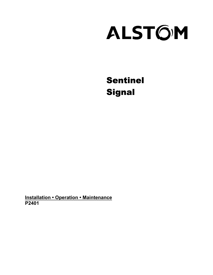# **ALSTÔM**

# Sentinel **Signal**

**Installation • Operation • Maintenance P2401**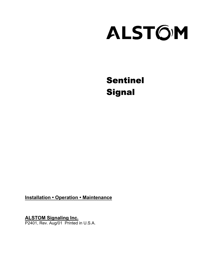# ALSTÓM

# Sentinel **Signal**

**Installation • Operation • Maintenance**

**ALSTOM Signaling Inc.**

P2401, Rev. Aug/01 Printed in U.S.A.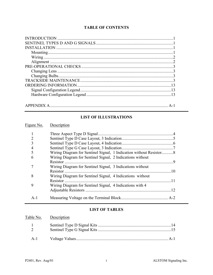# **TABLE OF CONTENTS**

|            | $\mathcal{D}$ |
|------------|---------------|
|            |               |
|            |               |
|            |               |
|            |               |
|            |               |
|            | 13            |
|            | -13           |
|            |               |
| APPENDIX A |               |

## **LIST OF ILLUSTRATIONS**

# Figure No. Description

| h     | Wiring Diagram for Sentinel Signal, 2 Indications without |                 |
|-------|-----------------------------------------------------------|-----------------|
|       | Resistor                                                  |                 |
|       | Wiring Diagram for Sentinel Signal, 3 Indications without |                 |
|       | Resistor                                                  | $\overline{10}$ |
|       | Wiring Diagram for Sentinel Signal, 4 Indications without |                 |
|       | Resistor                                                  |                 |
|       | Wiring Diagram for Sentinel Signal, 4 Indications with 4  |                 |
|       |                                                           | 12              |
| $A-1$ |                                                           | $A-2$           |

#### **LIST OF TABLES**

|       | Table No. Description |  |
|-------|-----------------------|--|
|       |                       |  |
| $A-1$ |                       |  |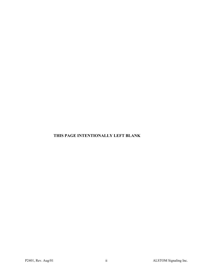**THIS PAGE INTENTIONALLY LEFT BLANK**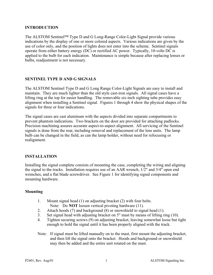#### **INTRODUCTION**

The ALSTOM Sentinel™ Type D and G Long-Range Color-Light Signal provide various indications by the display of one or more colored aspects. Various indications are given by the use of color only, and the position of lights does not enter into the scheme. Sentinel signals operate from either battery energy (DC) or rectified AC power. Typically, 10-volts DC is applied to the bulb for each indication. Maintenance is simple because after replacing lenses or bulbs, readjustment is not necessary.

#### **SENTINEL TYPE D AND G SIGNALS**

The ALSTOM Sentinel Type D and G Long Range Color-Light Signals are easy to install and maintain. They are much lighter than the old style cast-iron signals. All signal cases have a lifting ring at the top for easier handling. The removable six-inch sighting tube provides easy alignment when installing a Sentinel signal. Figures 1 through 4 show the physical shapes of the signals for three or four indications.

The signal cases are cast aluminum with the aspects divided into separate compartments to prevent phantom indications. Two brackets on the door are provided for attaching padlocks. Precision machining assures accurate aspect-to-aspect alignment. All servicing of the Sentinel signals is done from the rear, including removal and replacement of the lens units. The lamp bulb can be changed in the field, as can the lamp holder, without need for refocusing or realignment.

#### **INSTALLATION**

Installing the signal complete consists of mounting the case, completing the wiring and aligning the signal to the tracks. Installation requires use of an AAR wrench, 1/2" and 3/4" open end wrenches, and a flat blade screwdriver. See Figure 1 for identifying signal components and mounting hardware.

#### **Mounting**

- 1. Mount signal head (1) on adjusting bracket (2) with four bolts. Note: Do **NOT** loosen vertical pivoting hardware (11).
- 2. Attach hoods (7) and background (8) or snowshield to signal head (1).
- 3. Set signal head with adjusting bracket on 5" mast by means of lifting ring (10).
- 4. Tighten securing screws (9) on adjusting bracket, leaving somewhat loose but tight enough to hold the signal until it has been properly aligned with the track.
- Note: If signal must be lifted manually on to the mast, first mount the adjusting bracket, and then lift the signal onto the bracket. Hoods and background or snowshield may then be added and the entire unit rotated on the mast.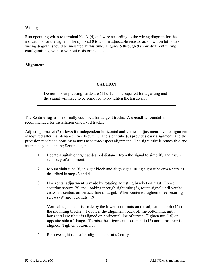#### **Wiring**

Run operating wires to terminal block (4) and wire according to the wiring diagram for the indications for the signal. The optional 0 to 5 ohm adjustable resistor as shown on left side of wiring diagram should be mounted at this time. Figures 5 through 9 show different wiring configurations, with or without resistor installed.

#### **Alignment**

## **CAUTION**

Do not loosen pivoting hardware (11). It is not required for adjusting and the signal will have to be removed to re-tighten the hardware.

The Sentinel signal is normally equipped for tangent tracks. A spreadlite roundel is recommended for installation on curved tracks.

Adjusting bracket (2) allows for independent horizontal and vertical adjustment. No realignment is required after maintenance. See Figure 1. The sight tube (6) provides easy alignment, and the precision machined housing assures aspect-to-aspect alignment. The sight tube is removable and interchangeable among Sentinel signals.

- 1. Locate a suitable target at desired distance from the signal to simplify and assure accuracy of alignment.
- 2. Mount sight tube (6) in sight block and align signal using sight tube cross-hairs as described in steps 3 and 4.
- 3. Horizontal adjustment is made by rotating adjusting bracket on mast. Loosen securing screws (9) and, looking through sight tube (6), rotate signal until vertical crosshair centers on vertical line of target. When centered, tighten three securing screws (9) and lock nuts (19).
- 4. Vertical adjustment is made by the lower set of nuts on the adjustment bolt (15) of the mounting bracket. To lower the alignment, back off the bottom nut until horizontal crosshair is aligned on horizontal line of target. Tighten nut (16) on opposite side of flange. To raise the alignment, loosen nut (16) until crosshair is aligned. Tighten bottom nut.
- 5. Remove sight tube after alignment is satisfactory.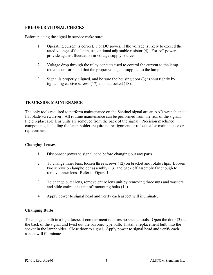#### **PRE-OPERATIONAL CHECKS**

Before placing the signal in service make sure:

- 1. Operating current is correct. For DC power, if the voltage is likely to exceed the rated voltage of the lamp, use optional adjustable resistor (4). For AC power, provide against fluctuation in voltage supply source.
- 2. Voltage drop through the relay contacts used to control the current to the lamp remains uniform and that the proper voltage is supplied to the lamp.
- 3. Signal is properly aligned, and be sure the housing door (3) is shut tightly by tightening captive screws (17) and padlocked (18).

#### **TRACKSIDE MAINTENANCE**

The only tools required to perform maintenance on the Sentinel signal are an AAR wrench and a flat blade screwdriver. All routine maintenance can be performed from the rear of the signal. Field replaceable lens units are removed from the back of the signal. Precision machined components, including the lamp holder, require no realignment or refocus after maintenance or replacement.

#### **Changing Lenses**

- 1. Disconnect power to signal head before changing out any parts.
- 2. To change inner lens, loosen three screws (12) on bracket and rotate clips. Loosen two screws on lampholder assembly (13) and back off assembly far enough to remove inner lens. Refer to Figure 1.
- 3. To change outer lens, remove entire lens unit by removing three nuts and washers and slide entire lens unit off mounting bolts (14).
- 4. Apply power to signal head and verify each aspect will illuminate.

#### **Changing Bulbs**

To change a bulb in a light (aspect) compartment requires no special tools. Open the door (3) at the back of the signal and twist out the bayonet-type bulb. Install a replacement bulb into the socket in the lampholder. Close door to signal. Apply power to signal head and verify each aspect will illuminate.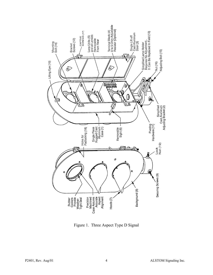

Figure 1. Three Aspect Type D Signal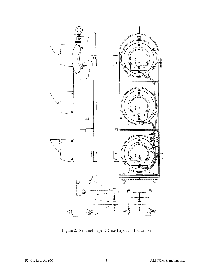

Figure 2. Sentinel Type D Case Layout, 3 Indication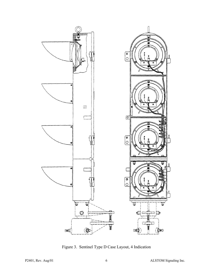

Figure 3. Sentinel Type D Case Layout, 4 Indication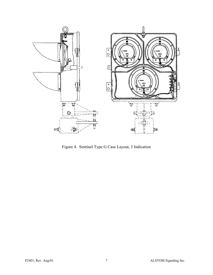

Figure 4. Sentinel Type G Case Layout, 3 Indication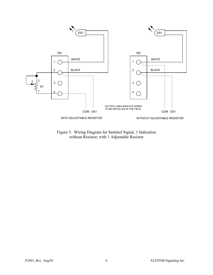

Figure 5. Wiring Diagram for Sentinel Signal, 1 Indication without Resistor; with 1 Adjustable Resistor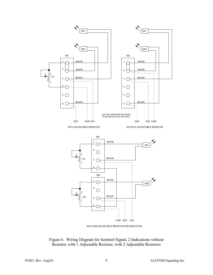

Figure 6. Wiring Diagram for Sentinel Signal, 2 Indications without Resistor; with 1 Adjustable Resistor; with 2 Adjustable Resistors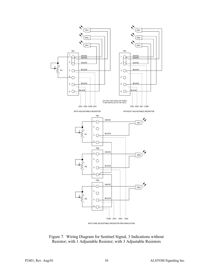

Figure 7. Wiring Diagram for Sentinel Signal, 3 Indications without Resistor; with 1 Adjustable Resistor; with 3 Adjustable Resistors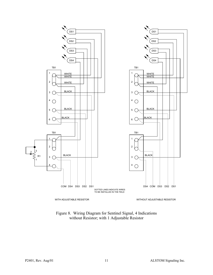

Figure 8. Wiring Diagram for Sentinel Signal, 4 Indications without Resistor; with 1 Adjustable Resistor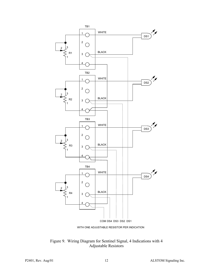

WITH ONE ADJUSTABLE RESISTOR PER INDICATION

Figure 9. Wiring Diagram for Sentinel Signal, 4 Indications with 4 Adjustable Resistors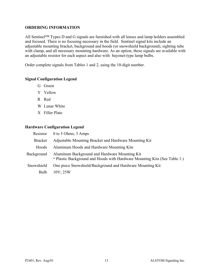#### **ORDERING INFORMATION**

All Sentinel™ Types D and G signals are furnished with all lenses and lamp holders assembled and focused. There is no focusing necessary in the field. Sentinel signal kits include an adjustable mounting bracket, background and hoods (or snowshield background), sighting tube with clamp, and all necessary mounting hardware. As an option, these signals are available with an adjustable resistor for each aspect and also with bayonet-type lamp bulbs.

Order complete signals from Tables 1 and 2, using the 10-digit number.

#### **Signal Configuration Legend**

- G Green
- Y Yellow
- R Red
- W Lunar White
- X Filler Plate

#### **Hardware Configuration Legend**

| Resistor       | 0 to 5 Ohms; $3$ Amps                                                                                                      |
|----------------|----------------------------------------------------------------------------------------------------------------------------|
| <b>Bracket</b> | Adjustable Mounting Bracket and Hardware Mounting Kit                                                                      |
| Hoods          | Aluminum Hoods and Hardware Mounting Kits                                                                                  |
| Background     | Aluminum Background and Hardware Mounting Kit<br>* Plastic Background and Hoods with Hardware Mounting Kits (See Table 1.) |
| Snowshield     | One piece Snowshield/Background and Hardware Mounting Kit                                                                  |
| Bulb           | $10V$ ; $25W$                                                                                                              |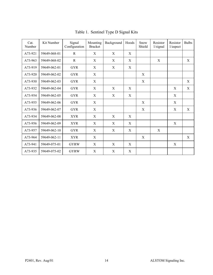| Cat.<br>Number | Kit Number   | Signal<br>Configuration | Mounting<br><b>Bracket</b> | Background  | Hoods | Snow<br>Shield | Resistor<br>1/signal | Resistor<br>1/aspect | <b>Bulbs</b> |
|----------------|--------------|-------------------------|----------------------------|-------------|-------|----------------|----------------------|----------------------|--------------|
| A73-921        | 59649-068-01 | $\mathbb{R}$            | X                          | X           | X     |                |                      |                      |              |
| A73-963        | 59649-068-02 | $\mathbb{R}$            | X                          | X           | X     |                | X                    |                      | X            |
| A73-919        | 59649-062-01 | <b>GYR</b>              | X                          | $\mathbf X$ | X     |                |                      |                      |              |
| A73-920        | 59649-062-02 | <b>GYR</b>              | X                          |             |       | $\mathbf X$    |                      |                      |              |
| A73-930        | 59649-062-03 | <b>GYR</b>              | X                          |             |       | X              |                      |                      | X            |
| A73-932        | 59649-062-04 | <b>GYR</b>              | X                          | X           | X     |                |                      | X                    | X            |
| A73-954        | 59649-062-05 | <b>GYR</b>              | X                          | X           | X     |                |                      | X                    |              |
| A73-955        | 59649-062-06 | <b>GYR</b>              | X                          |             |       | X              |                      | X                    |              |
| A73-936        | 59649-062-07 | <b>GYR</b>              | X                          |             |       | X              |                      | $\mathbf X$          | X            |
| A73-934        | 59649-062-08 | <b>XYR</b>              | X                          | X           | X     |                |                      |                      |              |
| A73-956        | 59649-062-09 | <b>XYR</b>              | X                          | X           | X     |                |                      | X                    |              |
| A73-957        | 59649-062-10 | <b>GYR</b>              | X                          | X           | X     |                | X                    |                      |              |
| A73-964        | 59649-062-11 | <b>XYR</b>              | $\boldsymbol{\mathrm{X}}$  |             |       | X              |                      |                      | X            |
| A73-941        | 59649-075-01 | <b>GYRW</b>             | X                          | $\mathbf X$ | X     |                |                      | X                    |              |
| A73-935        | 59649-075-02 | <b>GYRW</b>             | $\mathbf X$                | $\mathbf X$ | X     |                |                      |                      |              |

Table 1. Sentinel Type D Signal Kits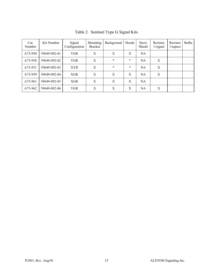| Cat.<br>Number | Kit Number   | Signal<br>Configuration | Mounting<br><b>Bracket</b> | Background | Hoods  | <b>Snow</b><br>Shield | Resistor<br>$1/\text{signal}$ | Resistor<br>1/aspect | <b>Bulbs</b> |
|----------------|--------------|-------------------------|----------------------------|------------|--------|-----------------------|-------------------------------|----------------------|--------------|
| A73-950        | 59649-092-01 | YGR                     | X                          | X          | X      | NA.                   |                               |                      |              |
| A73-958        | 59649-092-02 | YGR                     | X                          | $\ast$     | $\ast$ | NA                    | X                             |                      |              |
| A73-951        | 59649-092-03 | <b>XYR</b>              | X                          | $\ast$     | $\ast$ | NA                    | X                             |                      |              |
| A73-959        | 59649-092-04 | <b>XGR</b>              | X                          | X          | X      | <b>NA</b>             | X                             |                      |              |
| A73-961        | 59649-092-05 | <b>XGR</b>              | X                          | X          | X      | <b>NA</b>             |                               |                      |              |
| A73-962        | 59649-092-06 | YGR                     | X                          | X          | X      | NA                    | X                             |                      |              |

Table 2. Sentinel Type G Signal Kits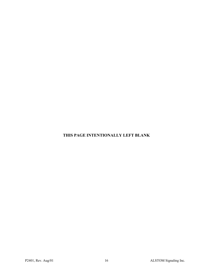**THIS PAGE INTENTIONALLY LEFT BLANK**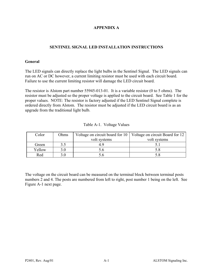### **APPENDIX A**

### **SENTINEL SIGNAL LED INSTALLATION INSTRUCTIONS**

#### **General**

The LED signals can directly replace the light bulbs in the Sentinel Signal. The LED signals can run on AC or DC however, a current limiting resistor must be used with each circuit board. Failure to use the current limiting resistor will damage the LED circuit board.

The resistor is Alstom part number 55945-013-01. It is a variable resistor (0 to 5 ohms). The resistor must be adjusted so the proper voltage is applied to the circuit board. See Table 1 for the proper values. NOTE: The resistor is factory adjusted if the LED Sentinel Signal complete is ordered directly from Alstom. The resistor must be adjusted if the LED circuit board is as an upgrade from the traditional light bulb.

| Color  | Ohms |              | Voltage on circuit board for 10   Voltage on circuit Board for 12 |
|--------|------|--------------|-------------------------------------------------------------------|
|        |      | volt systems | volt systems                                                      |
| Green  | 3.5  |              |                                                                   |
| Yellow |      |              |                                                                   |
| Red    |      |              |                                                                   |

| Table A-1. Voltage Values |  |  |  |
|---------------------------|--|--|--|
|---------------------------|--|--|--|

The voltage on the circuit board can be measured on the terminal block between terminal posts numbers 2 and 4. The posts are numbered from left to right, post number 1 being on the left. See Figure A-1 next page.